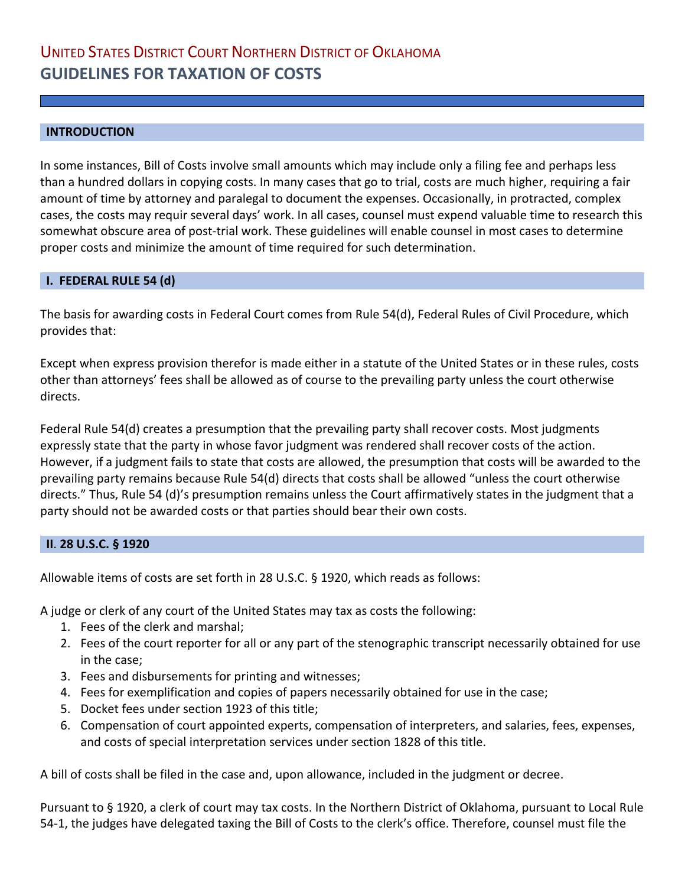### **INTRODUCTION**

In some instances, Bill of Costs involve small amounts which may include only a filing fee and perhaps less than a hundred dollars in copying costs. In many cases that go to trial, costs are much higher, requiring a fair amount of time by attorney and paralegal to document the expenses. Occasionally, in protracted, complex cases, the costs may requir several days' work. In all cases, counsel must expend valuable time to research this somewhat obscure area of post-trial work. These guidelines will enable counsel in most cases to determine proper costs and minimize the amount of time required for such determination.

### **I. FEDERAL RULE 54 (d)**

The basis for awarding costs in Federal Court comes from Rule 54(d), Federal Rules of Civil Procedure, which provides that:

Except when express provision therefor is made either in a statute of the United States or in these rules, costs other than attorneys' fees shall be allowed as of course to the prevailing party unless the court otherwise directs.

Federal Rule 54(d) creates a presumption that the prevailing party shall recover costs. Most judgments expressly state that the party in whose favor judgment was rendered shall recover costs of the action. However, if a judgment fails to state that costs are allowed, the presumption that costs will be awarded to the prevailing party remains because Rule 54(d) directs that costs shall be allowed "unless the court otherwise directs." Thus, Rule 54 (d)'s presumption remains unless the Court affirmatively states in the judgment that a party should not be awarded costs or that parties should bear their own costs.

#### **II**. **28 U.S.C. § 1920**

Allowable items of costs are set forth in 28 U.S.C. § 1920, which reads as follows:

A judge or clerk of any court of the United States may tax as costs the following:

- 1. Fees of the clerk and marshal;
- 2. Fees of the court reporter for all or any part of the stenographic transcript necessarily obtained for use in the case;
- 3. Fees and disbursements for printing and witnesses;
- 4. Fees for exemplification and copies of papers necessarily obtained for use in the case;
- 5. Docket fees under section 1923 of this title;
- 6. Compensation of court appointed experts, compensation of interpreters, and salaries, fees, expenses, and costs of special interpretation services under section 1828 of this title.

A bill of costs shall be filed in the case and, upon allowance, included in the judgment or decree.

Pursuant to § 1920, a clerk of court may tax costs. In the Northern District of Oklahoma, pursuant to Local Rule 54-1, the judges have delegated taxing the Bill of Costs to the clerk's office. Therefore, counsel must file the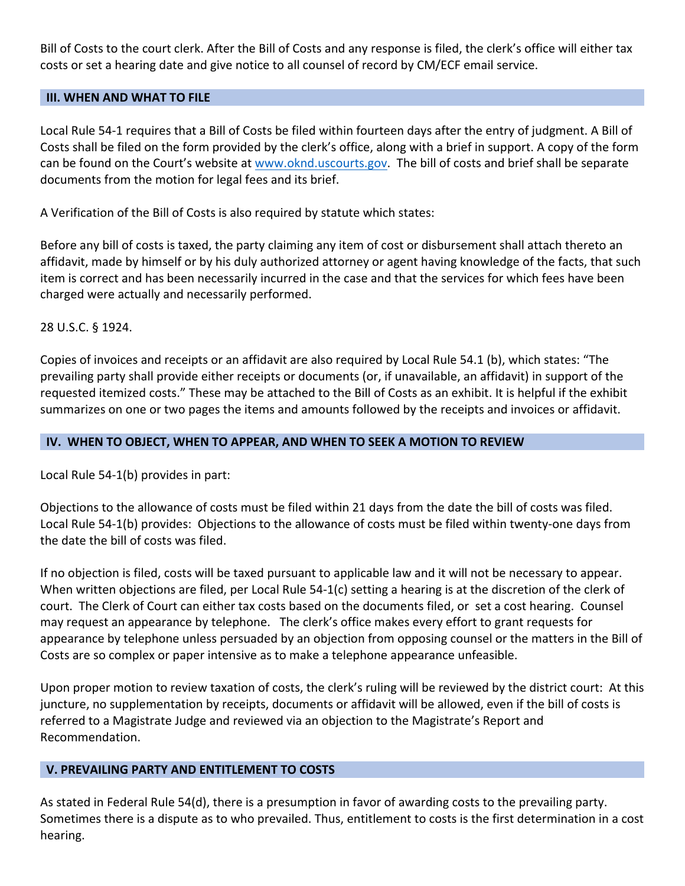Bill of Costs to the court clerk. After the Bill of Costs and any response is filed, the clerk's office will either tax costs or set a hearing date and give notice to all counsel of record by CM/ECF email service.

### **III. WHEN AND WHAT TO FILE**

Local Rule 54-1 requires that a Bill of Costs be filed within fourteen days after the entry of judgment. A Bill of Costs shall be filed on the form provided by the clerk's office, along with a brief in support. A copy of the form can be found on the Court's website at [www.oknd.uscourts.gov.](http://www.oknd.uscourts.gov/) The bill of costs and brief shall be separate documents from the motion for legal fees and its brief.

A Verification of the Bill of Costs is also required by statute which states:

Before any bill of costs is taxed, the party claiming any item of cost or disbursement shall attach thereto an affidavit, made by himself or by his duly authorized attorney or agent having knowledge of the facts, that such item is correct and has been necessarily incurred in the case and that the services for which fees have been charged were actually and necessarily performed.

### 28 U.S.C. § 1924.

Copies of invoices and receipts or an affidavit are also required by Local Rule 54.1 (b), which states: "The prevailing party shall provide either receipts or documents (or, if unavailable, an affidavit) in support of the requested itemized costs." These may be attached to the Bill of Costs as an exhibit. It is helpful if the exhibit summarizes on one or two pages the items and amounts followed by the receipts and invoices or affidavit.

### **IV. WHEN TO OBJECT, WHEN TO APPEAR, AND WHEN TO SEEK A MOTION TO REVIEW**

Local Rule 54-1(b) provides in part:

Objections to the allowance of costs must be filed within 21 days from the date the bill of costs was filed. Local Rule 54-1(b) provides: Objections to the allowance of costs must be filed within twenty-one days from the date the bill of costs was filed.

If no objection is filed, costs will be taxed pursuant to applicable law and it will not be necessary to appear. When written objections are filed, per Local Rule 54-1(c) setting a hearing is at the discretion of the clerk of court. The Clerk of Court can either tax costs based on the documents filed, or set a cost hearing. Counsel may request an appearance by telephone. The clerk's office makes every effort to grant requests for appearance by telephone unless persuaded by an objection from opposing counsel or the matters in the Bill of Costs are so complex or paper intensive as to make a telephone appearance unfeasible.

Upon proper motion to review taxation of costs, the clerk's ruling will be reviewed by the district court: At this juncture, no supplementation by receipts, documents or affidavit will be allowed, even if the bill of costs is referred to a Magistrate Judge and reviewed via an objection to the Magistrate's Report and Recommendation.

### **V. PREVAILING PARTY AND ENTITLEMENT TO COSTS**

As stated in Federal Rule 54(d), there is a presumption in favor of awarding costs to the prevailing party. Sometimes there is a dispute as to who prevailed. Thus, entitlement to costs is the first determination in a cost hearing.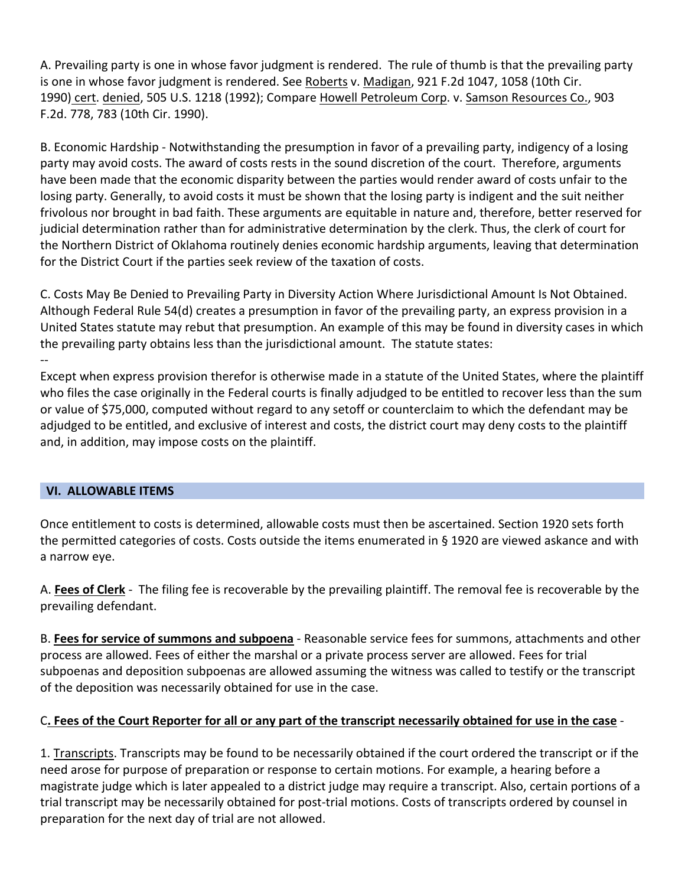A. Prevailing party is one in whose favor judgment is rendered. The rule of thumb is that the prevailing party is one in whose favor judgment is rendered. See Roberts v. Madigan, 921 F.2d 1047, 1058 (10th Cir. 1990) cert. denied, 505 U.S. 1218 (1992); Compare Howell Petroleum Corp. v. Samson Resources Co., 903 F.2d. 778, 783 (10th Cir. 1990).

B. Economic Hardship - Notwithstanding the presumption in favor of a prevailing party, indigency of a losing party may avoid costs. The award of costs rests in the sound discretion of the court. Therefore, arguments have been made that the economic disparity between the parties would render award of costs unfair to the losing party. Generally, to avoid costs it must be shown that the losing party is indigent and the suit neither frivolous nor brought in bad faith. These arguments are equitable in nature and, therefore, better reserved for judicial determination rather than for administrative determination by the clerk. Thus, the clerk of court for the Northern District of Oklahoma routinely denies economic hardship arguments, leaving that determination for the District Court if the parties seek review of the taxation of costs.

C. Costs May Be Denied to Prevailing Party in Diversity Action Where Jurisdictional Amount Is Not Obtained. Although Federal Rule 54(d) creates a presumption in favor of the prevailing party, an express provision in a United States statute may rebut that presumption. An example of this may be found in diversity cases in which the prevailing party obtains less than the jurisdictional amount. The statute states: --

Except when express provision therefor is otherwise made in a statute of the United States, where the plaintiff who files the case originally in the Federal courts is finally adjudged to be entitled to recover less than the sum or value of \$75,000, computed without regard to any setoff or counterclaim to which the defendant may be adjudged to be entitled, and exclusive of interest and costs, the district court may deny costs to the plaintiff and, in addition, may impose costs on the plaintiff.

## **VI. ALLOWABLE ITEMS**

Once entitlement to costs is determined, allowable costs must then be ascertained. Section 1920 sets forth the permitted categories of costs. Costs outside the items enumerated in § 1920 are viewed askance and with a narrow eye.

A. **Fees of Clerk** - The filing fee is recoverable by the prevailing plaintiff. The removal fee is recoverable by the prevailing defendant.

B. **Fees for service of summons and subpoena** - Reasonable service fees for summons, attachments and other process are allowed. Fees of either the marshal or a private process server are allowed. Fees for trial subpoenas and deposition subpoenas are allowed assuming the witness was called to testify or the transcript of the deposition was necessarily obtained for use in the case.

## C**. Fees of the Court Reporter for all or any part of the transcript necessarily obtained for use in the case** -

1. Transcripts. Transcripts may be found to be necessarily obtained if the court ordered the transcript or if the need arose for purpose of preparation or response to certain motions. For example, a hearing before a magistrate judge which is later appealed to a district judge may require a transcript. Also, certain portions of a trial transcript may be necessarily obtained for post-trial motions. Costs of transcripts ordered by counsel in preparation for the next day of trial are not allowed.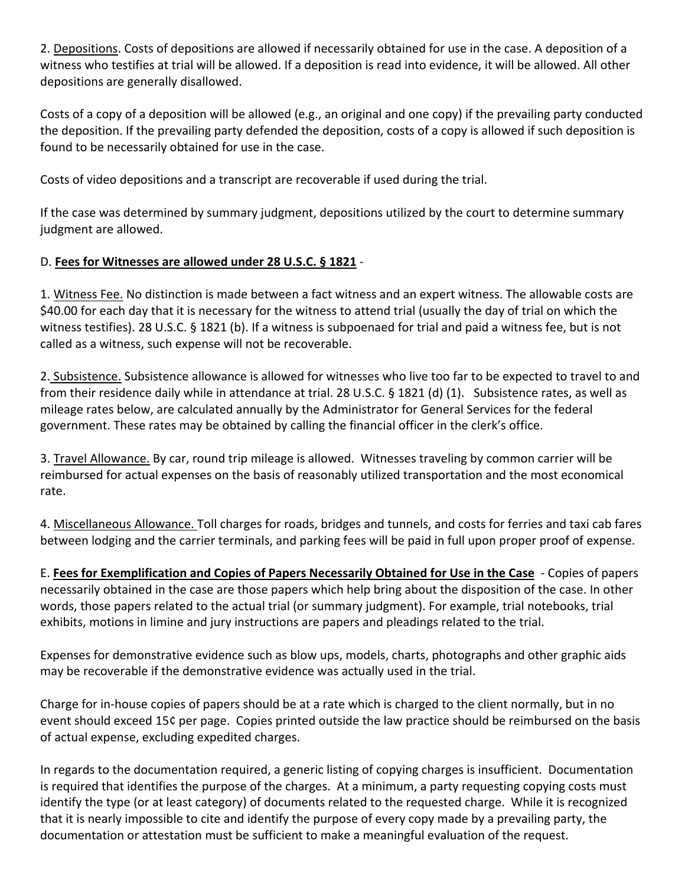2. Depositions. Costs of depositions are allowed if necessarily obtained for use in the case. A deposition of a witness who testifies at trial will be allowed. If a deposition is read into evidence, it will be allowed. All other depositions are generally disallowed.

Costs of a copy of a deposition will be allowed (e.g., an original and one copy) if the prevailing party conducted the deposition. If the prevailing party defended the deposition, costs of a copy is allowed if such deposition is found to be necessarily obtained for use in the case.

Costs of video depositions and a transcript are recoverable if used during the trial.

If the case was determined by summary judgment, depositions utilized by the court to determine summary judgment are allowed.

# D. **Fees for Witnesses are allowed under 28 U.S.C. § 1821** -

1. Witness Fee. No distinction is made between a fact witness and an expert witness. The allowable costs are \$40.00 for each day that it is necessary for the witness to attend trial (usually the day of trial on which the witness testifies). 28 U.S.C. § 1821 (b). If a witness is subpoenaed for trial and paid a witness fee, but is not called as a witness, such expense will not be recoverable.

2. Subsistence. Subsistence allowance is allowed for witnesses who live too far to be expected to travel to and from their residence daily while in attendance at trial. 28 U.S.C. § 1821 (d) (1). Subsistence rates, as well as mileage rates below, are calculated annually by the Administrator for General Services for the federal government. These rates may be obtained by calling the financial officer in the clerk's office.

3. Travel Allowance. By car, round trip mileage is allowed. Witnesses traveling by common carrier will be reimbursed for actual expenses on the basis of reasonably utilized transportation and the most economical rate.

4. Miscellaneous Allowance. Toll charges for roads, bridges and tunnels, and costs for ferries and taxi cab fares between lodging and the carrier terminals, and parking fees will be paid in full upon proper proof of expense.

E. **Fees for Exemplification and Copies of Papers Necessarily Obtained for Use in the Case** - Copies of papers necessarily obtained in the case are those papers which help bring about the disposition of the case. In other words, those papers related to the actual trial (or summary judgment). For example, trial notebooks, trial exhibits, motions in limine and jury instructions are papers and pleadings related to the trial.

Expenses for demonstrative evidence such as blow ups, models, charts, photographs and other graphic aids may be recoverable if the demonstrative evidence was actually used in the trial.

Charge for in-house copies of papers should be at a rate which is charged to the client normally, but in no event should exceed 15¢ per page. Copies printed outside the law practice should be reimbursed on the basis of actual expense, excluding expedited charges.

In regards to the documentation required, a generic listing of copying charges is insufficient. Documentation is required that identifies the purpose of the charges. At a minimum, a party requesting copying costs must identify the type (or at least category) of documents related to the requested charge. While it is recognized that it is nearly impossible to cite and identify the purpose of every copy made by a prevailing party, the documentation or attestation must be sufficient to make a meaningful evaluation of the request.